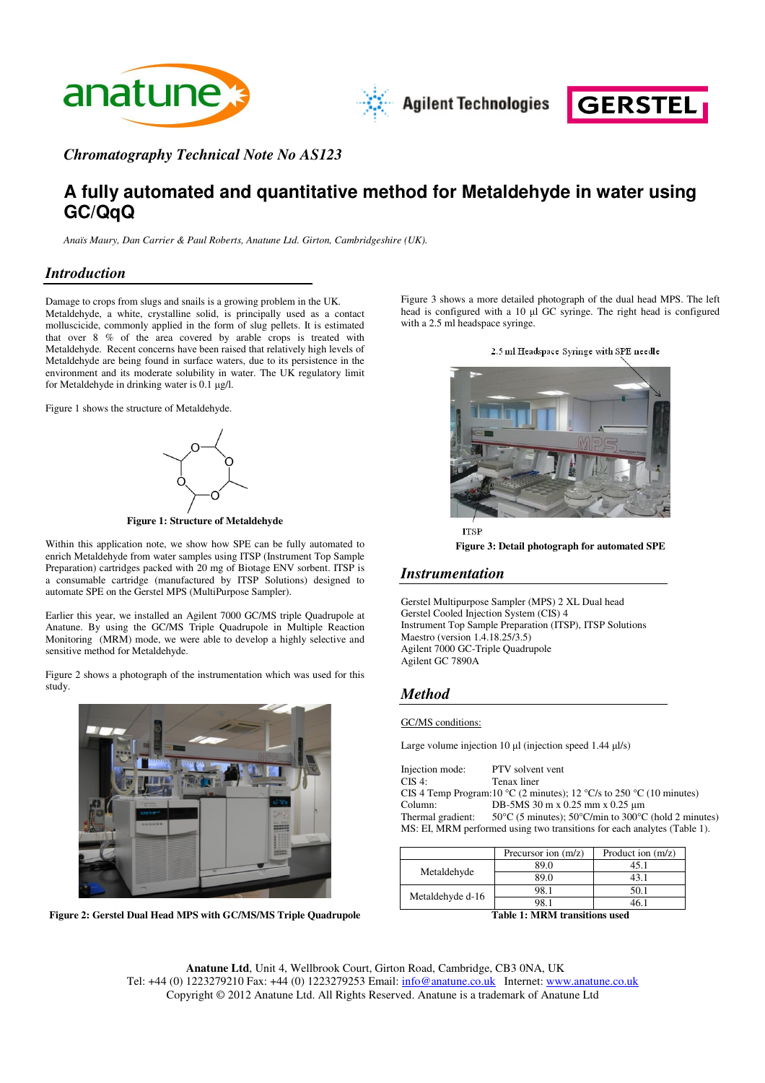



*Chromatography Technical Note No AS123*

# **A fully automated and quantitative method for Metaldehyde in water using GC/QqQ**

*Anaïs Maury, Dan Carrier & Paul Roberts, Anatune Ltd. Girton, Cambridgeshire (UK).*

# *Introduction*

Damage to crops from slugs and snails is a growing problem in the UK. Metaldehyde, a white, crystalline solid, is principally used as a contact molluscicide, commonly applied in the form of slug pellets. It is estimated that over 8 % of the area covered by arable crops is treated with Metaldehyde. Recent concerns have been raised that relatively high levels of Metaldehyde are being found in surface waters, due to its persistence in the environment and its moderate solubility in water. The UK regulatory limit for Metaldehyde in drinking water is  $0.1 \mu g/l$ .

Figure 1 shows the structure of Metaldehyde.



**Figure 1: Structure of Metaldehyde**

Within this application note, we show how SPE can be fully automated to enrich Metaldehyde from water samples using ITSP (Instrument Top Sample Preparation) cartridges packed with 20 mg of Biotage ENV sorbent. ITSP is a consumable cartridge (manufactured by ITSP Solutions) designed to automate SPE on the Gerstel MPS (MultiPurpose Sampler).

Earlier this year, we installed an Agilent 7000 GC/MS triple Quadrupole at Anatune. By using the GC/MS Triple Quadrupole in Multiple Reaction Monitoring (MRM) mode, we were able to develop a highly selective and sensitive method for Metaldehyde.

Figure 2 shows a photograph of the instrumentation which was used for this study.



**Figure 2: Gerstel Dual Head MPS with GC/MS/MS Triple Quadrupole**

Figure 3 shows a more detailed photograph of the dual head MPS. The left head is configured with a 10  $\mu$ l GC syringe. The right head is configured with a 2.5 ml headspace syringe.





**ITSP Figure 3: Detail photograph for automated SPE**

# *Instrumentation*

Gerstel Multipurpose Sampler (MPS) 2 XL Dual head Gerstel Cooled Injection System (CIS) 4 Instrument Top Sample Preparation (ITSP), ITSP Solutions Maestro (version 1.4.18.25/3.5) Agilent 7000 GC-Triple Quadrupole Agilent GC 7890A

# *Method*

GC/MS conditions:

Large volume injection 10  $\mu$ l (injection speed 1.44  $\mu$ l/s)

Injection mode: PTV solvent vent CIS 4: Tenax liner CIS 4 Temp Program:10 °C (2 minutes); 12 °C/s to 250 °C (10 minutes) Column: DB-5MS 30 m x 0.25 mm x 0.25 µm<br>Thermal gradient:  $50^{\circ}$ C (5 minutes);  $50^{\circ}$ C/min to 300°C 50°C (5 minutes); 50°C/min to 300°C (hold 2 minutes) MS: EI, MRM performed using two transitions for each analytes (Table 1).

|                  | Precursor ion (m/z) | Product ion $(m/z)$ |
|------------------|---------------------|---------------------|
| Metaldehyde      | 89.0                | 45.1                |
|                  | 89.0                | 43.                 |
| Metaldehyde d-16 | 98.1                | 50.1                |
|                  | ว8                  |                     |

**Table 1: MRM transitions used**

**Anatune Ltd**, Unit 4, Wellbrook Court, Girton Road, Cambridge, CB3 0NA, UK Tel: +44 (0) 1223279210 Fax: +44 (0) 1223279253 Email: info@anatune.co.uk Internet: www.anatune.co.uk Copyright © 2012 Anatune Ltd. All Rights Reserved. Anatune is a trademark of Anatune Ltd